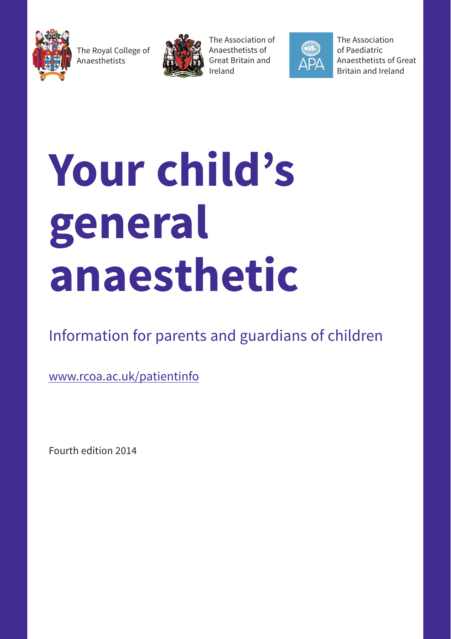

The Royal College of Anaesthetists



The Association of Anaesthetists of Great Britain and Ireland



The Association of Paediatric Anaesthetists of Great Britain and Ireland

# **Your child's general anaesthetic**

Information for parents and guardians of children

www.rcoa.ac.uk/patientinfo

Fourth edition 2014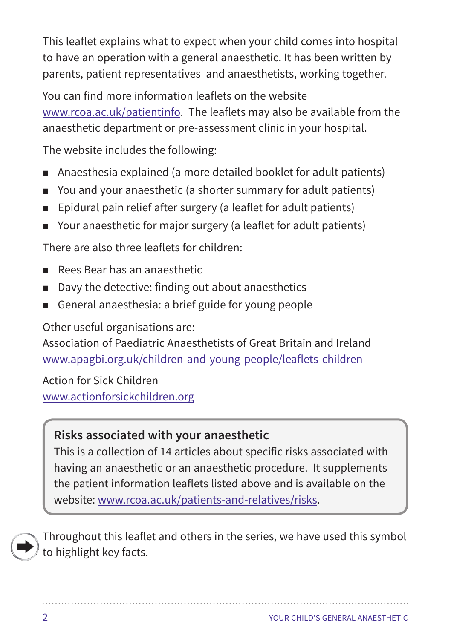This leaflet explains what to expect when your child comes into hospital to have an operation with a general anaesthetic. It has been written by parents, patient representatives and anaesthetists, working together.

You can find more information leaflets on the website www.rcoa.ac.uk/patientinfo. The leaflets may also be available from the anaesthetic department or pre-assessment clinic in your hospital.

The website includes the following:

- Anaesthesia explained (a more detailed booklet for adult patients)
- You and your anaesthetic (a shorter summary for adult patients)
- Epidural pain relief after surgery (a leaflet for adult patients)
- Your anaesthetic for major surgery (a leaflet for adult patients)

There are also three leaflets for children:

- Rees Bear has an anaesthetic
- Davy the detective: finding out about anaesthetics
- General anaesthesia: a brief guide for young people

Other useful organisations are:

Association of Paediatric Anaesthetists of Great Britain and Ireland www.apagbi.org.uk/children-and-young-people/leaflets-children

Action for Sick Children www.actionforsickchildren.org

## **Risks associated with your anaesthetic**

This is a collection of 14 articles about specific risks associated with having an anaesthetic or an anaesthetic procedure. It supplements the patient information leaflets listed above and is available on the website: www.rcoa.ac.uk/patients-and-relatives/risks.



Throughout this leaflet and others in the series, we have used this symbol to highlight key facts.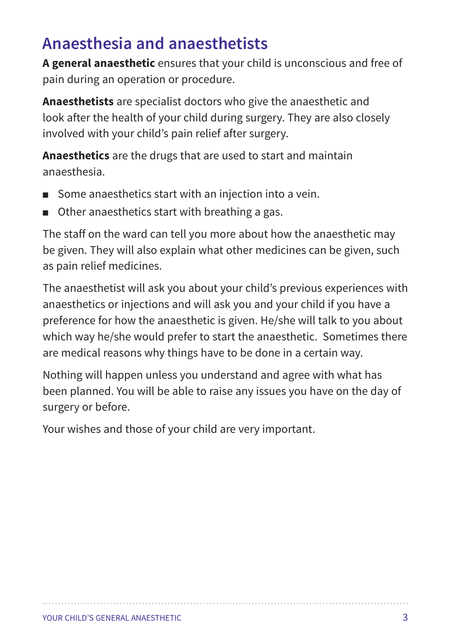## **Anaesthesia and anaesthetists**

**A general anaesthetic** ensures that your child is unconscious and free of pain during an operation or procedure.

**Anaesthetists** are specialist doctors who give the anaesthetic and look after the health of your child during surgery. They are also closely involved with your child's pain relief after surgery.

**Anaesthetics** are the drugs that are used to start and maintain anaesthesia.

- Some anaesthetics start with an injection into a vein.
- Other anaesthetics start with breathing a gas.

The staff on the ward can tell you more about how the anaesthetic may be given. They will also explain what other medicines can be given, such as pain relief medicines.

The anaesthetist will ask you about your child's previous experiences with anaesthetics or injections and will ask you and your child if you have a preference for how the anaesthetic is given. He/she will talk to you about which way he/she would prefer to start the anaesthetic. Sometimes there are medical reasons why things have to be done in a certain way.

Nothing will happen unless you understand and agree with what has been planned. You will be able to raise any issues you have on the day of surgery or before.

Your wishes and those of your child are very important.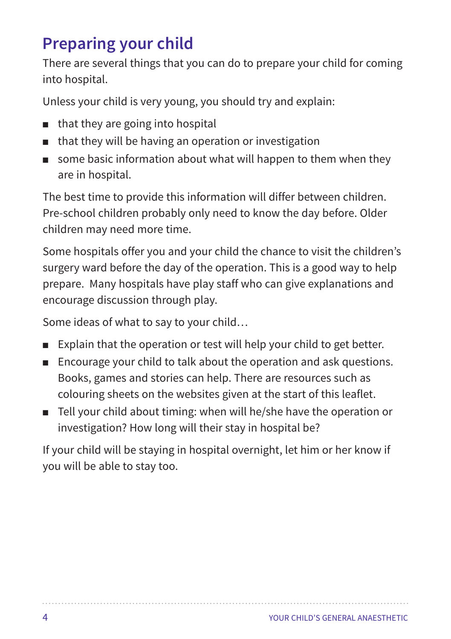# **Preparing your child**

There are several things that you can do to prepare your child for coming into hospital.

Unless your child is very young, you should try and explain:

- that they are going into hospital
- that they will be having an operation or investigation
- some basic information about what will happen to them when they are in hospital.

The best time to provide this information will differ between children. Pre-school children probably only need to know the day before. Older children may need more time.

Some hospitals offer you and your child the chance to visit the children's surgery ward before the day of the operation. This is a good way to help prepare. Many hospitals have play staff who can give explanations and encourage discussion through play.

Some ideas of what to say to your child…

- Explain that the operation or test will help your child to get better.
- Encourage your child to talk about the operation and ask questions. Books, games and stories can help. There are resources such as colouring sheets on the websites given at the start of this leaflet.
- Tell your child about timing: when will he/she have the operation or investigation? How long will their stay in hospital be?

If your child will be staying in hospital overnight, let him or her know if you will be able to stay too.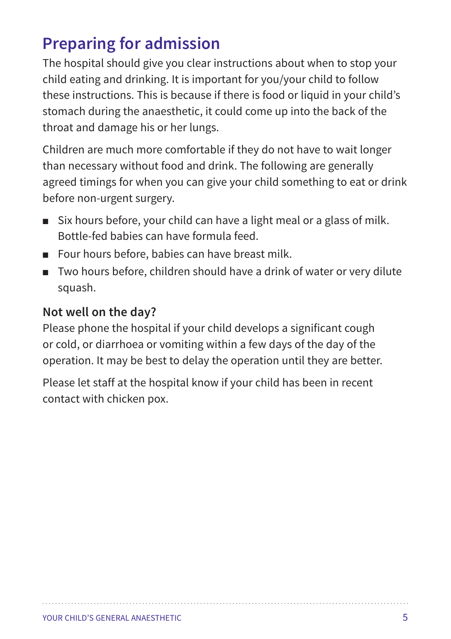# **Preparing for admission**

The hospital should give you clear instructions about when to stop your child eating and drinking. It is important for you/your child to follow these instructions. This is because if there is food or liquid in your child's stomach during the anaesthetic, it could come up into the back of the throat and damage his or her lungs.

Children are much more comfortable if they do not have to wait longer than necessary without food and drink. The following are generally agreed timings for when you can give your child something to eat or drink before non-urgent surgery.

- Six hours before, your child can have a light meal or a glass of milk. Bottle-fed babies can have formula feed.
- Four hours before, babies can have breast milk.
- Two hours before, children should have a drink of water or very dilute squash.

#### **Not well on the day?**

Please phone the hospital if your child develops a significant cough or cold, or diarrhoea or vomiting within a few days of the day of the operation. It may be best to delay the operation until they are better.

Please let staff at the hospital know if your child has been in recent contact with chicken pox.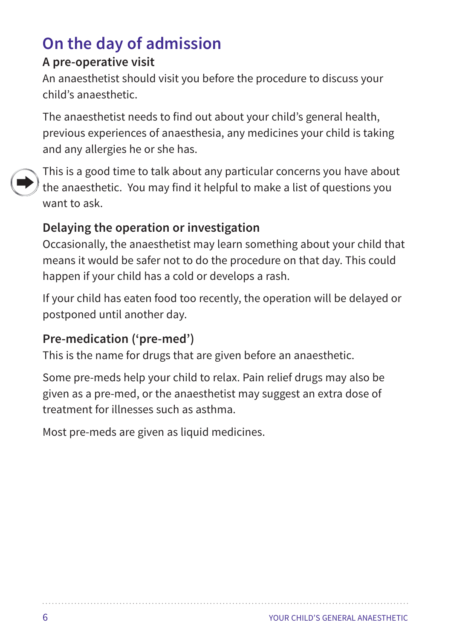# **On the day of admission**

#### **A pre-operative visit**

An anaesthetist should visit you before the procedure to discuss your child's anaesthetic.

The anaesthetist needs to find out about your child's general health, previous experiences of anaesthesia, any medicines your child is taking and any allergies he or she has.



This is a good time to talk about any particular concerns you have about the anaesthetic. You may find it helpful to make a list of questions you want to ask.

## **Delaying the operation or investigation**

Occasionally, the anaesthetist may learn something about your child that means it would be safer not to do the procedure on that day. This could happen if your child has a cold or develops a rash.

If your child has eaten food too recently, the operation will be delayed or postponed until another day.

## **Pre-medication ('pre-med')**

This is the name for drugs that are given before an anaesthetic.

Some pre-meds help your child to relax. Pain relief drugs may also be given as a pre-med, or the anaesthetist may suggest an extra dose of treatment for illnesses such as asthma.

Most pre-meds are given as liquid medicines.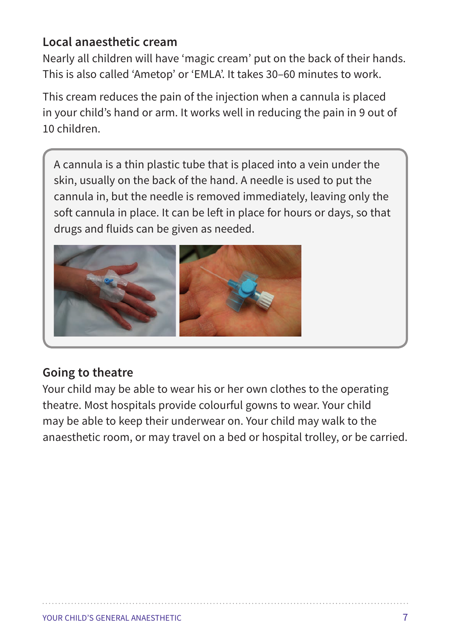#### **Local anaesthetic cream**

Nearly all children will have 'magic cream' put on the back of their hands. This is also called 'Ametop' or 'EMLA'. It takes 30–60 minutes to work.

This cream reduces the pain of the injection when a cannula is placed in your child's hand or arm. It works well in reducing the pain in 9 out of 10 children.

A cannula is a thin plastic tube that is placed into a vein under the skin, usually on the back of the hand. A needle is used to put the cannula in, but the needle is removed immediately, leaving only the soft cannula in place. It can be left in place for hours or days, so that drugs and fluids can be given as needed.



#### **Going to theatre**

Your child may be able to wear his or her own clothes to the operating theatre. Most hospitals provide colourful gowns to wear. Your child may be able to keep their underwear on. Your child may walk to the anaesthetic room, or may travel on a bed or hospital trolley, or be carried.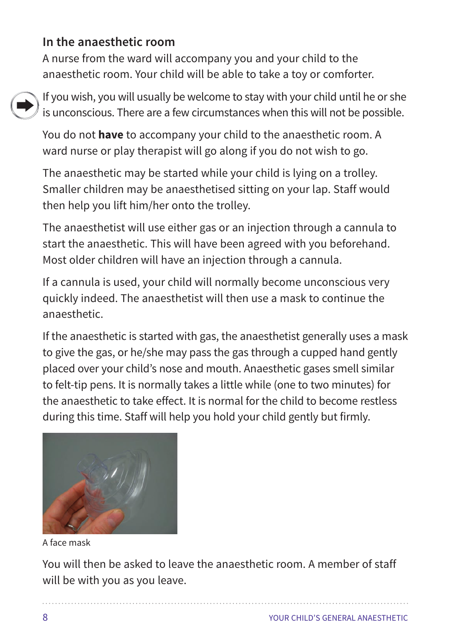#### **In the anaesthetic room**

A nurse from the ward will accompany you and your child to the anaesthetic room. Your child will be able to take a toy or comforter.



If you wish, you will usually be welcome to stay with your child until he or she is unconscious. There are a few circumstances when this will not be possible.

You do not **have** to accompany your child to the anaesthetic room. A ward nurse or play therapist will go along if you do not wish to go.

The anaesthetic may be started while your child is lying on a trolley. Smaller children may be anaesthetised sitting on your lap. Staff would then help you lift him/her onto the trolley.

The anaesthetist will use either gas or an injection through a cannula to start the anaesthetic. This will have been agreed with you beforehand. Most older children will have an injection through a cannula.

If a cannula is used, your child will normally become unconscious very quickly indeed. The anaesthetist will then use a mask to continue the anaesthetic.

If the anaesthetic is started with gas, the anaesthetist generally uses a mask to give the gas, or he/she may pass the gas through a cupped hand gently placed over your child's nose and mouth. Anaesthetic gases smell similar to felt-tip pens. It is normally takes a little while (one to two minutes) for the anaesthetic to take effect. It is normal for the child to become restless during this time. Staff will help you hold your child gently but firmly.



A face mask

You will then be asked to leave the anaesthetic room. A member of staff will be with you as you leave.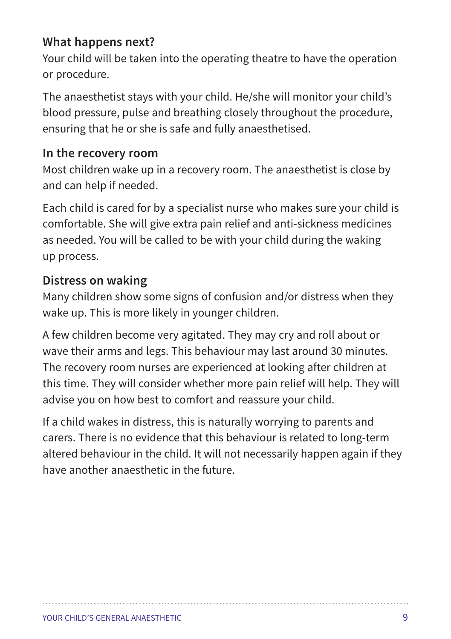#### **What happens next?**

Your child will be taken into the operating theatre to have the operation or procedure.

The anaesthetist stays with your child. He/she will monitor your child's blood pressure, pulse and breathing closely throughout the procedure, ensuring that he or she is safe and fully anaesthetised.

#### **In the recovery room**

Most children wake up in a recovery room. The anaesthetist is close by and can help if needed.

Each child is cared for by a specialist nurse who makes sure your child is comfortable. She will give extra pain relief and anti-sickness medicines as needed. You will be called to be with your child during the waking up process.

#### **Distress on waking**

Many children show some signs of confusion and/or distress when they wake up. This is more likely in younger children.

A few children become very agitated. They may cry and roll about or wave their arms and legs. This behaviour may last around 30 minutes. The recovery room nurses are experienced at looking after children at this time. They will consider whether more pain relief will help. They will advise you on how best to comfort and reassure your child.

If a child wakes in distress, this is naturally worrying to parents and carers. There is no evidence that this behaviour is related to long-term altered behaviour in the child. It will not necessarily happen again if they have another anaesthetic in the future.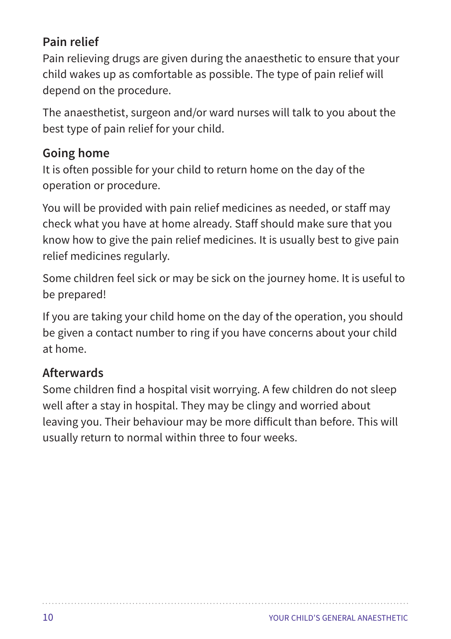## **Pain relief**

Pain relieving drugs are given during the anaesthetic to ensure that your child wakes up as comfortable as possible. The type of pain relief will depend on the procedure.

The anaesthetist, surgeon and/or ward nurses will talk to you about the best type of pain relief for your child.

#### **Going home**

It is often possible for your child to return home on the day of the operation or procedure.

You will be provided with pain relief medicines as needed, or staff may check what you have at home already. Staff should make sure that you know how to give the pain relief medicines. It is usually best to give pain relief medicines regularly.

Some children feel sick or may be sick on the journey home. It is useful to be prepared!

If you are taking your child home on the day of the operation, you should be given a contact number to ring if you have concerns about your child at home.

#### **Afterwards**

Some children find a hospital visit worrying. A few children do not sleep well after a stay in hospital. They may be clingy and worried about leaving you. Their behaviour may be more difficult than before. This will usually return to normal within three to four weeks.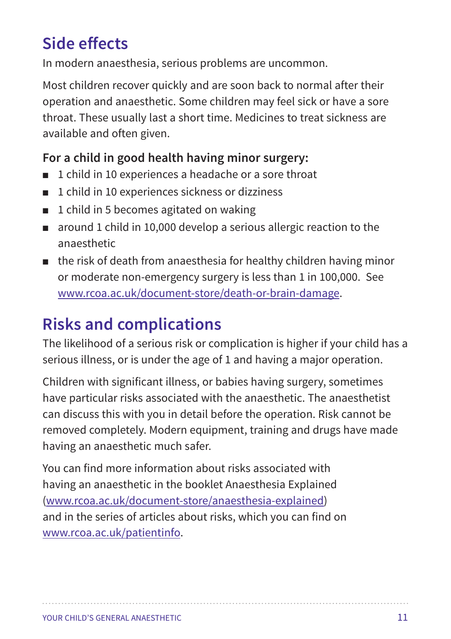# **Side effects**

In modern anaesthesia, serious problems are uncommon.

Most children recover quickly and are soon back to normal after their operation and anaesthetic. Some children may feel sick or have a sore throat. These usually last a short time. Medicines to treat sickness are available and often given.

#### **For a child in good health having minor surgery:**

- 1 child in 10 experiences a headache or a sore throat
- 1 child in 10 experiences sickness or dizziness
- 1 child in 5 becomes agitated on waking
- around 1 child in 10,000 develop a serious allergic reaction to the anaesthetic
- the risk of death from anaesthesia for healthy children having minor or moderate non-emergency surgery is less than 1 in 100,000. See www.rcoa.ac.uk/document-store/death-or-brain-damage.

# **Risks and complications**

The likelihood of a serious risk or complication is higher if your child has a serious illness, or is under the age of 1 and having a major operation.

Children with significant illness, or babies having surgery, sometimes have particular risks associated with the anaesthetic. The anaesthetist can discuss this with you in detail before the operation. Risk cannot be removed completely. Modern equipment, training and drugs have made having an anaesthetic much safer.

You can find more information about risks associated with having an anaesthetic in the booklet Anaesthesia Explained (www.rcoa.ac.uk/document-store/anaesthesia-explained) and in the series of articles about risks, which you can find on www.rcoa.ac.uk/patientinfo.